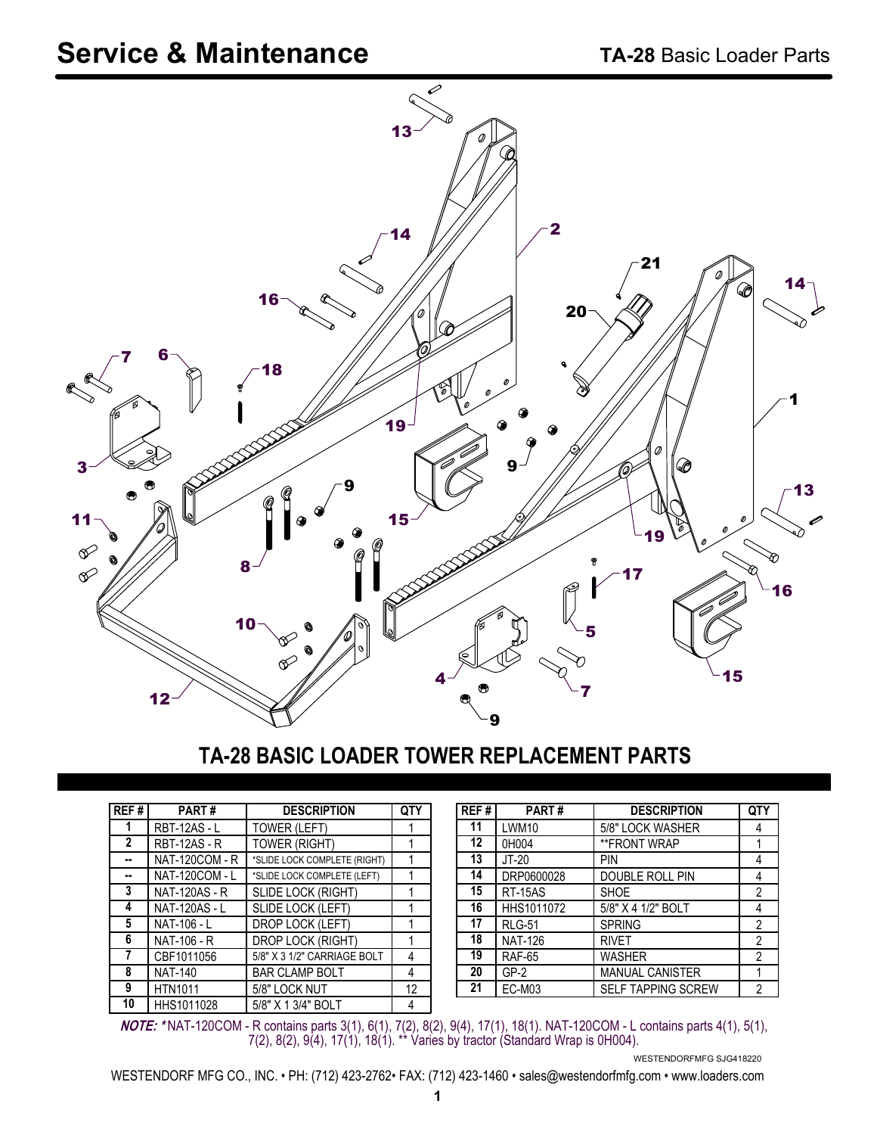

#### **TA-28 BASIC LOADER TOWER REPLACEMENT PARTS**

| REF#         | <b>PART#</b>          | <b>DESCRIPTION</b>           | <b>QTY</b> |
|--------------|-----------------------|------------------------------|------------|
|              | <b>RBT-12AS - L</b>   | <b>TOWER (LEFT)</b>          |            |
| $\mathbf{2}$ | <b>RBT-12AS - R</b>   | <b>TOWER (RIGHT)</b>         |            |
|              | <b>NAT-120COM - R</b> | *SLIDE LOCK COMPLETE (RIGHT) |            |
|              | <b>NAT-120COM - L</b> | *SLIDE LOCK COMPLETE (LEFT)  |            |
| 3            | <b>NAT-120AS - R</b>  | SLIDE LOCK (RIGHT)           |            |
| 4            | <b>NAT-120AS - L</b>  | SLIDE LOCK (LEFT)            |            |
| 5            | NAT-106 - L           | DROP LOCK (LEFT)             |            |
| 6            | NAT-106 - R           | <b>DROP LOCK (RIGHT)</b>     |            |
| 7            | CBF1011056            | 5/8" X 3 1/2" CARRIAGE BOLT  |            |
| 8            | <b>NAT-140</b>        | <b>BAR CLAMP BOLT</b>        | 4          |
| 9            | <b>HTN1011</b>        | 5/8" LOCK NUT                | 12         |
| 10           | HHS1011028            | 5/8" X 1 3/4" BOLT           | 4          |

| REF#            | PART#          | <b>DESCRIPTION</b>        | QTY            |
|-----------------|----------------|---------------------------|----------------|
| 11              | LWM10          | 5/8" LOCK WASHER          | 4              |
| 12 <sup>2</sup> | 0H004          | **FRONT WRAP              |                |
| 13              | $JT-20$        | PIN                       | 4              |
| 14              | DRP0600028     | DOUBLE ROLL PIN           | 4              |
| 15              | <b>RT-15AS</b> | <b>SHOE</b>               | $\overline{2}$ |
| 16              | HHS1011072     | 5/8" X 4 1/2" BOLT        | 4              |
| 17              | <b>RLG-51</b>  | <b>SPRING</b>             | $\overline{2}$ |
| 18              | <b>NAT-126</b> | <b>RIVET</b>              | $\overline{2}$ |
| 19              | <b>RAF-65</b>  | <b>WASHER</b>             | $\overline{2}$ |
| 20              | $GP-2$         | <b>MANUAL CANISTER</b>    |                |
| 21              | <b>EC-M03</b>  | <b>SELF TAPPING SCREW</b> | 2              |

**NOTE: \*** NAT-120COM - R contains parts 3(1), 6(1), 7(2), 8(2), 9(4), 17(1), 18(1). NAT-120COM - L contains parts 4(1), 5(1), 7(2), 8(2), 9(4), 17(1), 18(1). \*\* Varies by tractor (Standard Wrap is 0H004).

WESTENDORFMFG SJG418220

WESTENDORF MFG CO., INC. • PH: (712) 423-2762• FAX: (712) 423-1460 • sales@westendorfmfg.com • www.loaders.com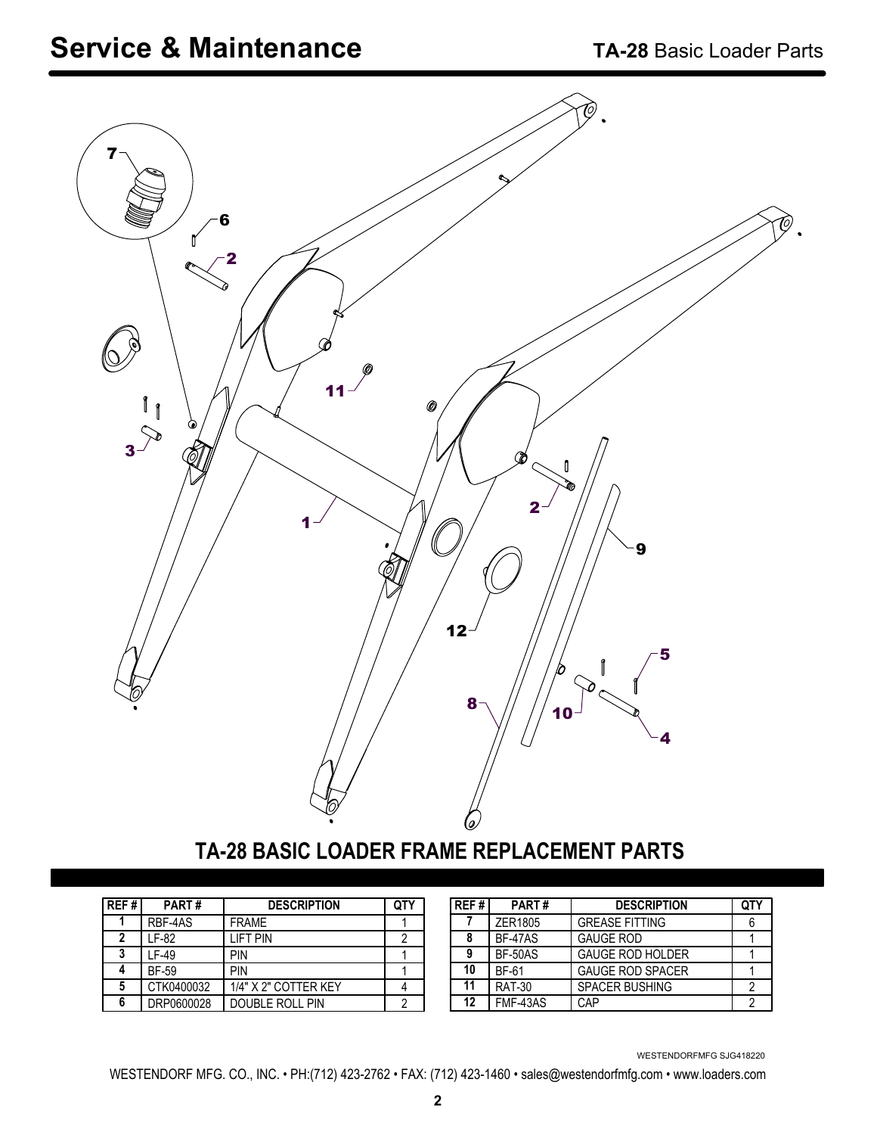## **Service & Maintenance TA-28** Basic Loader Parts



## **TA-28 BASIC LOADER FRAME REPLACEMENT PARTS**

| REF# | PART#        | <b>DESCRIPTION</b>   | QTY |
|------|--------------|----------------------|-----|
|      | RBF-4AS      | <b>FRAMF</b>         |     |
| 2    | LF-82        | I IFT PIN            | 2   |
| ?    | IF-49        | PIN                  |     |
|      | <b>BF-59</b> | PIN                  |     |
| 5    | CTK0400032   | 1/4" X 2" COTTER KEY |     |
| 6    | DRP0600028   | DOUBLE ROLL PIN      | 2   |

| REF# | PART#           | <b>DESCRIPTION</b>      | QTY |
|------|-----------------|-------------------------|-----|
|      | ZER1805         | <b>GREASE FITTING</b>   |     |
| 8    | <b>BF-47AS</b>  | <b>GAUGE ROD</b>        |     |
| 9    | <b>BF-50AS</b>  | <b>GAUGE ROD HOLDER</b> |     |
| 10   | <b>BF-61</b>    | <b>GAUGE ROD SPACER</b> |     |
| 11   | <b>RAT-30</b>   | <b>SPACER BUSHING</b>   |     |
| 12   | <b>FMF-43AS</b> | CAP                     |     |

WESTENDORFMFG SJG418220

WESTENDORF MFG. CO., INC. • PH:(712) 423-2762 • FAX: (712) 423-1460 • sales@westendorfmfg.com • www.loaders.com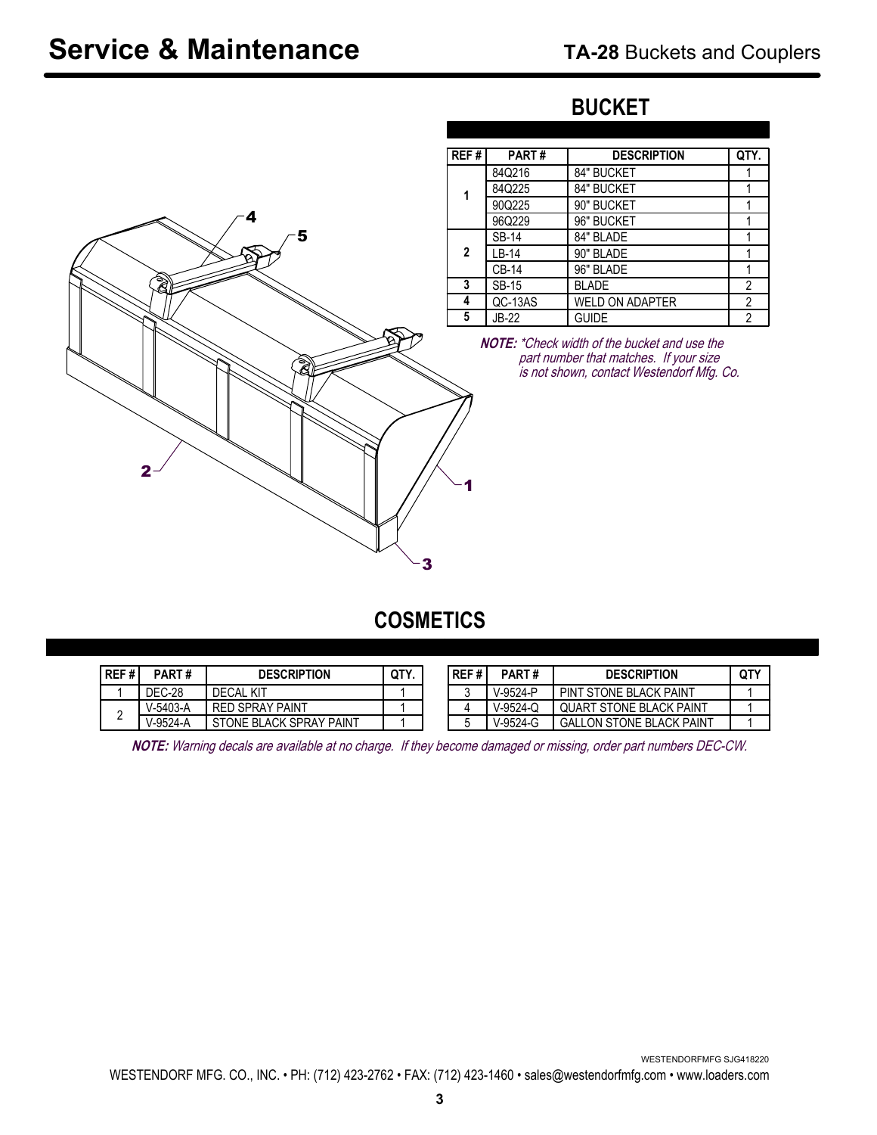# 2 1 4 5 **1 2**

### **BUCKET**

| REF# | PART#        | <b>DESCRIPTION</b>     | QTY.           |
|------|--------------|------------------------|----------------|
|      | 84Q216       | 84" BUCKET             |                |
| 1    | 84Q225       | 84" BUCKET             |                |
|      | 90Q225       | 90" BUCKET             |                |
|      | 96Q229       | 96" BUCKET             |                |
|      | <b>SB-14</b> | 84" BLADE              |                |
| 2    | LB-14        | 90" BLADE              |                |
|      | <b>CB-14</b> | 96" BLADE              |                |
| 3    | <b>SB-15</b> | <b>BLADE</b>           | $\overline{2}$ |
| 4    | QC-13AS      | <b>WELD ON ADAPTER</b> | 2              |
| 5    | JB-22        | <b>GUIDE</b>           | $\overline{2}$ |

**NOTE:** \*Check width of the bucket and use the part number that matches. If your size is not shown, contact Westendorf Mfg. Co.

#### **COSMETICS**

3

| REF# | PART#    | <b>DESCRIPTION</b>      | OTY |
|------|----------|-------------------------|-----|
|      | DEC-28   | DECAL KIT               |     |
|      | V-5403-A | <b>RED SPRAY PAINT</b>  |     |
|      | V-9524-A | STONE BLACK SPRAY PAINT |     |

| REF# | PART#        | <b>DESCRIPTION</b>             | <b>QTY</b> |
|------|--------------|--------------------------------|------------|
|      | $V-9524 - P$ | PINT STONE BLACK PAINT         |            |
|      | $V-9524-C$   | <b>QUART STONE BLACK PAINT</b> |            |
| ħ    | V-9524-G     | GALLON STONE BLACK PAINT       |            |

**NOTE:** Warning decals are available at no charge. If they become damaged or missing, order part numbers DEC-CW.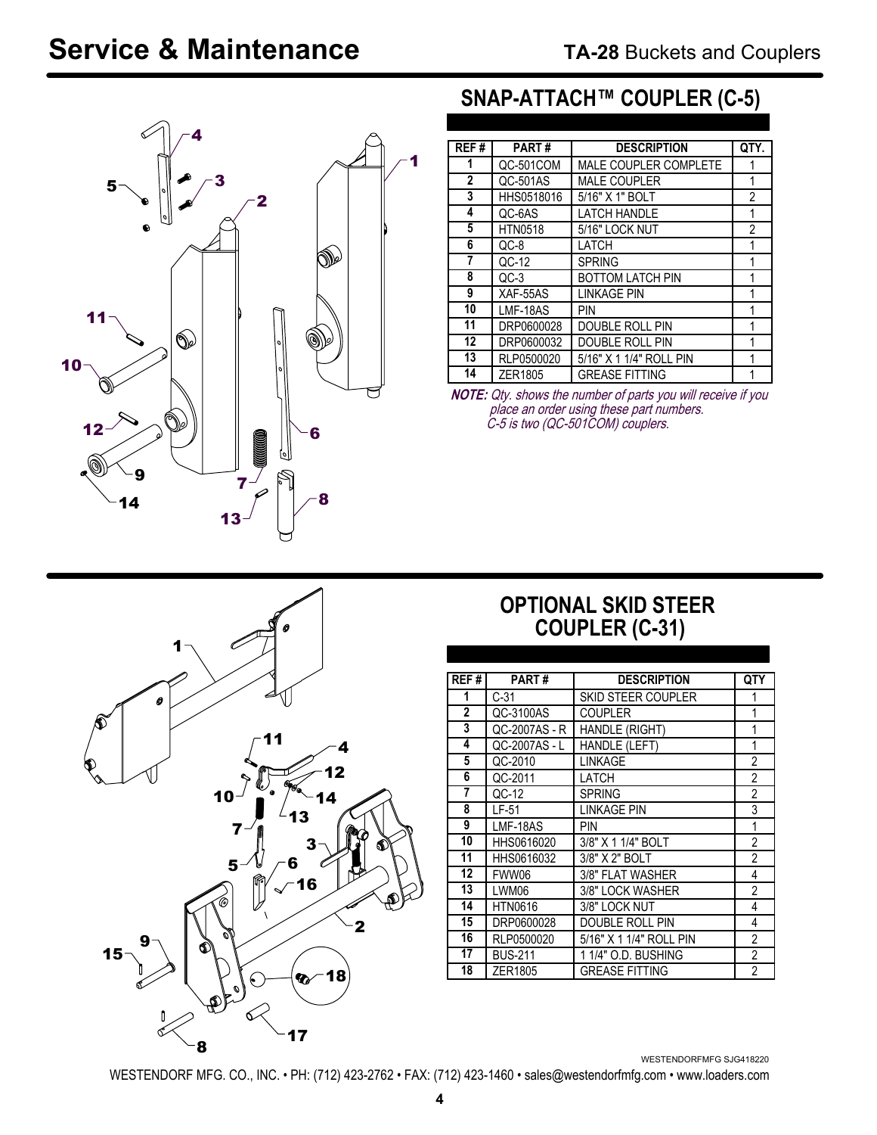# **Service & Maintenance**



## **SNAP-ATTACH™ COUPLER (C-5)**

| REF# | PART#          | <b>DESCRIPTION</b>      | QTY. |
|------|----------------|-------------------------|------|
| 1    | QC-501COM      | MALE COUPLER COMPLETE   |      |
| 2    | QC-501AS       | <b>MALE COUPLER</b>     |      |
| 3    | HHS0518016     | 5/16" X 1" BOLT         | 2    |
| 4    | QC-6AS         | <b>LATCH HANDLE</b>     | 1    |
| 5    | <b>HTN0518</b> | 5/16" LOCK NUT          | 2    |
| 6    | $OC-8$         | LATCH                   |      |
| 7    | QC-12          | <b>SPRING</b>           |      |
| 8    | $OC-3$         | <b>BOTTOM LATCH PIN</b> |      |
| 9    | XAF-55AS       | <b>LINKAGE PIN</b>      |      |
| 10   | LMF-18AS       | PIN                     |      |
| 11   | DRP0600028     | DOUBLE ROLL PIN         |      |
| 12   | DRP0600032     | DOUBLE ROLL PIN         | 1    |
| 13   | RLP0500020     | 5/16" X 1 1/4" ROLL PIN | 1    |
| 14   | ZER1805        | <b>GREASE FITTING</b>   |      |

**NOTE:** Qty. shows the number of parts you will receive if you place an order using these part numbers. C-5 is two (QC-501COM) couplers.



#### **OPTIONAL SKID STEER COUPLER (C-31)**

| REF#           | PART#          | <b>DESCRIPTION</b>        | QTY            |
|----------------|----------------|---------------------------|----------------|
| 1              | $C-31$         | <b>SKID STEER COUPLER</b> |                |
| $\overline{2}$ | QC-3100AS      | <b>COUPLER</b>            | 1              |
| 3              | QC-2007AS - R  | <b>HANDLE (RIGHT)</b>     | 1              |
| 4              | QC-2007AS - L  | <b>HANDLE (LEFT)</b>      | 1              |
| 5              | QC-2010        | LINKAGE                   | $\overline{2}$ |
| 6              | QC-2011        | LATCH                     | 2              |
| 7              | QC-12          | <b>SPRING</b>             | $\overline{2}$ |
| 8              | LF-51          | LINKAGE PIN               | 3              |
| 9              | LMF-18AS       | PIN                       | 1              |
| 10             | HHS0616020     | 3/8" X 1 1/4" BOLT        | $\overline{2}$ |
| 11             | HHS0616032     | 3/8" X 2" BOLT            | $\overline{2}$ |
| 12             | FWW06          | 3/8" FLAT WASHER          | 4              |
| 13             | LWM06          | 3/8" LOCK WASHER          | 2              |
| 14             | <b>HTN0616</b> | 3/8" LOCK NUT             | 4              |
| 15             | DRP0600028     | DOUBLE ROLL PIN           | 4              |
| 16             | RLP0500020     | 5/16" X 1 1/4" ROLL PIN   | $\overline{2}$ |
| 17             | <b>BUS-211</b> | 1 1/4" O.D. BUSHING       | $\overline{c}$ |
| 18             | ZER1805        | <b>GREASE FITTING</b>     | $\mathfrak{p}$ |

WESTENDORFMFG SJG418220

WESTENDORF MFG. CO., INC. • PH: (712) 423-2762 • FAX: (712) 423-1460 • sales@westendorfmfg.com • www.loaders.com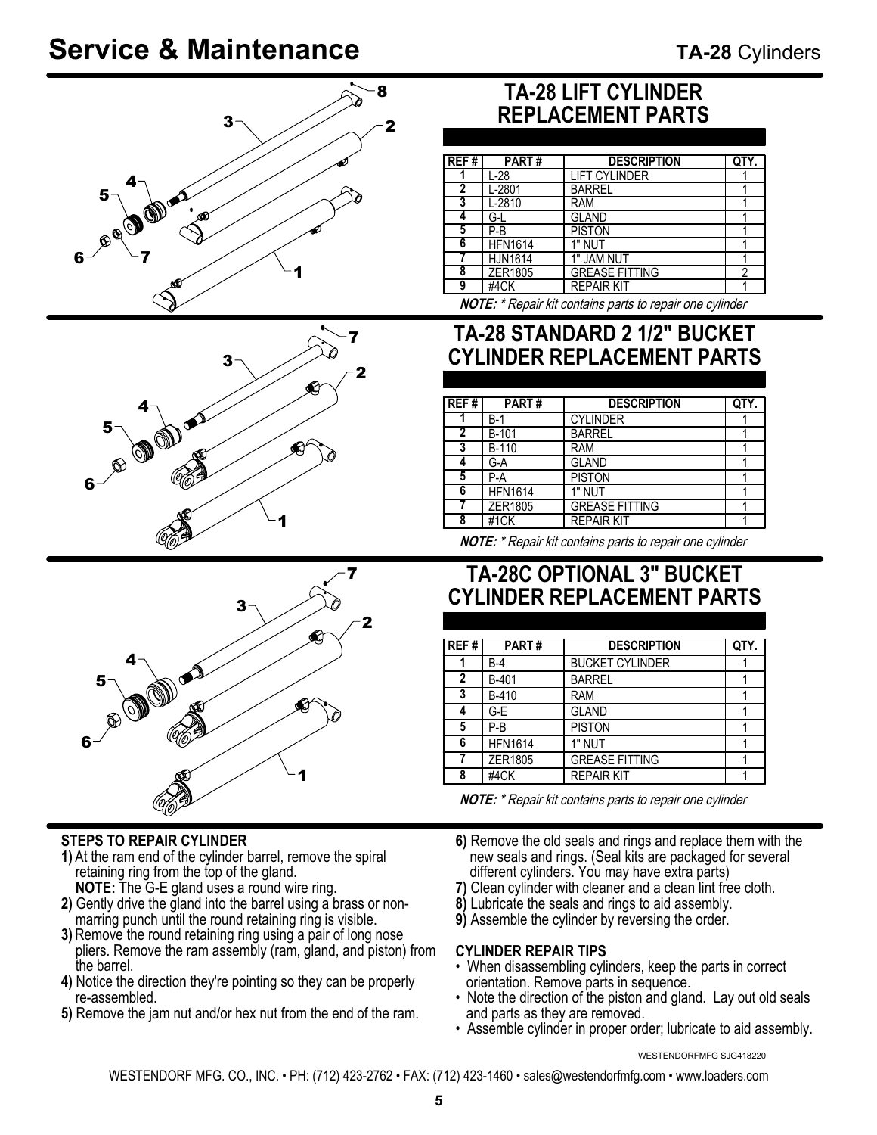# **Service & Maintenance**







#### **STEPS TO REPAIR CYLINDER**

- **1)** At the ram end of the cylinder barrel, remove the spiral retaining ring from the top of the gland. **NOTE:** The G-E gland uses a round wire ring.
- **2)** Gently drive the gland into the barrel using a brass or non marring punch until the round retaining ring is visible.
- **3)** Remove the round retaining ring using a pair of long nose pliers. Remove the ram assembly (ram, gland, and piston) from the barrel.
- **4)** Notice the direction they're pointing so they can be properly re-assembled.
- **5)** Remove the jam nut and/or hex nut from the end of the ram.

### **TA-28 LIFT CYLINDER REPLACEMENT PARTS**

| REF# | PART#          | <b>DESCRIPTION</b>    |   |
|------|----------------|-----------------------|---|
|      | $L-28$         | <b>LIFT CYLINDER</b>  |   |
|      | $L-2801$       | <b>BARREL</b>         |   |
|      | L-2810         | <b>RAM</b>            |   |
|      | G-L            | <b>GLAND</b>          |   |
| 5    | $P-B$          | <b>PISTON</b>         |   |
| 6    | <b>HFN1614</b> | 1" NUT                |   |
|      | <b>HJN1614</b> | 1" JAM NUT            |   |
| 8    | ZER1805        | <b>GREASE FITTING</b> | າ |
| 9    | #4CK           | <b>REPAIR KIT</b>     |   |
|      |                |                       |   |

**NOTE: \*** Repair kit contains parts to repair one cylinder

#### **TA-28 STANDARD 2 1/2" BUCKET CYLINDER REPLACEMENT PARTS**

| REF#           | PART#          | <b>DESCRIPTION</b>    |  |
|----------------|----------------|-----------------------|--|
|                | B-1            | <b>CYLINDER</b>       |  |
| $\overline{2}$ | <b>B-101</b>   | <b>BARREL</b>         |  |
| 3              | <b>B-110</b>   | <b>RAM</b>            |  |
|                | G-A            | <b>GLAND</b>          |  |
| 5              | P-A            | <b>PISTON</b>         |  |
| 6              | <b>HFN1614</b> | 1" NUT                |  |
|                | ZER1805        | <b>GREASE FITTING</b> |  |
| 8              | #1CK           | <b>REPAIR KIT</b>     |  |

**NOTE: \*** Repair kit contains parts to repair one cylinder

#### **TA-28C OPTIONAL 3" BUCKET CYLINDER REPLACEMENT PARTS**

| $\sqrt{\text{REF}\# }$ | PART#          | <b>DESCRIPTION</b>     | QTY. |
|------------------------|----------------|------------------------|------|
|                        | B-4            | <b>BUCKET CYLINDER</b> |      |
| 2                      | B-401          | <b>BARREL</b>          |      |
| 3                      | B-410          | <b>RAM</b>             |      |
| 4                      | G-E            | <b>GLAND</b>           |      |
| 5                      | P-B            | <b>PISTON</b>          |      |
| 6                      | <b>HFN1614</b> | 1" NUT                 |      |
|                        | ZER1805        | <b>GREASE FITTING</b>  |      |
| 8                      | #4CK           | <b>REPAIR KIT</b>      |      |

**NOTE: \*** Repair kit contains parts to repair one cylinder

- **6)** Remove the old seals and rings and replace them with the new seals and rings. (Seal kits are packaged for several different cylinders. You may have extra parts)
- **7)** Clean cylinder with cleaner and a clean lint free cloth.
- **8)** Lubricate the seals and rings to aid assembly.
- **9)** Assemble the cylinder by reversing the order.

#### **CYLINDER REPAIR TIPS**

- When disassembling cylinders, keep the parts in correct orientation. Remove parts in sequence.
- Note the direction of the piston and gland. Lay out old seals and parts as they are removed.
- Assemble cylinder in proper order; lubricate to aid assembly.

WESTENDORFMFG SJG418220